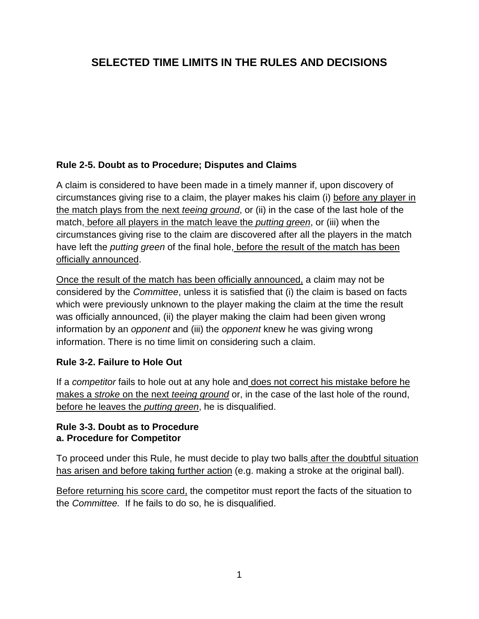# **SELECTED TIME LIMITS IN THE RULES AND DECISIONS**

#### **Rule 2-5. Doubt as to Procedure; Disputes and Claims**

A claim is considered to have been made in a timely manner if, upon discovery of circumstances giving rise to a claim, the player makes his claim (i) before any player in the match plays from the next *teeing ground*, or (ii) in the case of the last hole of the match, before all players in the match leave the *putting green*, or (iii) when the circumstances giving rise to the claim are discovered after all the players in the match have left the *putting green* of the final hole, before the result of the match has been officially announced.

Once the result of the match has been officially announced, a claim may not be considered by the *Committee*, unless it is satisfied that (i) the claim is based on facts which were previously unknown to the player making the claim at the time the result was officially announced, (ii) the player making the claim had been given wrong information by an *opponent* and (iii) the *opponent* knew he was giving wrong information. There is no time limit on considering such a claim.

#### **Rule 3-2. Failure to Hole Out**

If a *competitor* fails to hole out at any hole and does not correct his mistake before he makes a *stroke* on the next *teeing ground* or, in the case of the last hole of the round, before he leaves the *putting green*, he is disqualified.

#### **Rule 3-3. Doubt as to Procedure a. Procedure for Competitor**

To proceed under this Rule, he must decide to play two balls after the doubtful situation has arisen and before taking further action (e.g. making a stroke at the original ball).

Before returning his score card, the competitor must report the facts of the situation to the *Committee.* If he fails to do so, he is disqualified.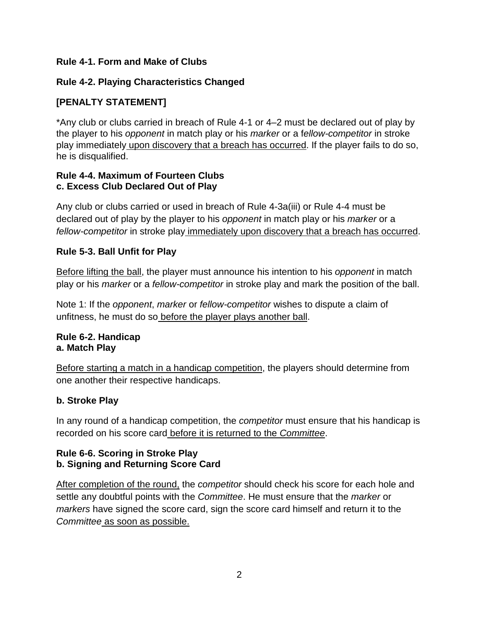#### **Rule 4-1. Form and Make of Clubs**

# **Rule 4-2. Playing Characteristics Changed**

# **[PENALTY STATEMENT]**

\*Any club or clubs carried in breach of Rule 4-1 or 4–2 must be declared out of play by the player to his *opponent* in match play or his *marker* or a f*ellow-competitor* in stroke play immediately upon discovery that a breach has occurred. If the player fails to do so, he is disqualified.

#### **Rule 4-4. Maximum of Fourteen Clubs c. Excess Club Declared Out of Play**

Any club or clubs carried or used in breach of Rule 4-3a(iii) or Rule 4-4 must be declared out of play by the player to his *opponent* in match play or his *marker* or a *fellow-competitor* in stroke play immediately upon discovery that a breach has occurred.

#### **Rule 5-3. Ball Unfit for Play**

Before lifting the ball, the player must announce his intention to his *opponent* in match play or his *marker* or a *fellow-competitor* in stroke play and mark the position of the ball.

Note 1: If the *opponent*, *marker* or *fellow-competitor* wishes to dispute a claim of unfitness, he must do so before the player plays another ball.

#### **Rule 6-2. Handicap a. Match Play**

Before starting a match in a handicap competition, the players should determine from one another their respective handicaps.

#### **b. Stroke Play**

In any round of a handicap competition, the *competitor* must ensure that his handicap is recorded on his score card before it is returned to the *Committee*.

### **Rule 6-6. Scoring in Stroke Play b. Signing and Returning Score Card**

After completion of the round, the *competitor* should check his score for each hole and settle any doubtful points with the *Committee*. He must ensure that the *marker* or *markers* have signed the score card, sign the score card himself and return it to the *Committee* as soon as possible.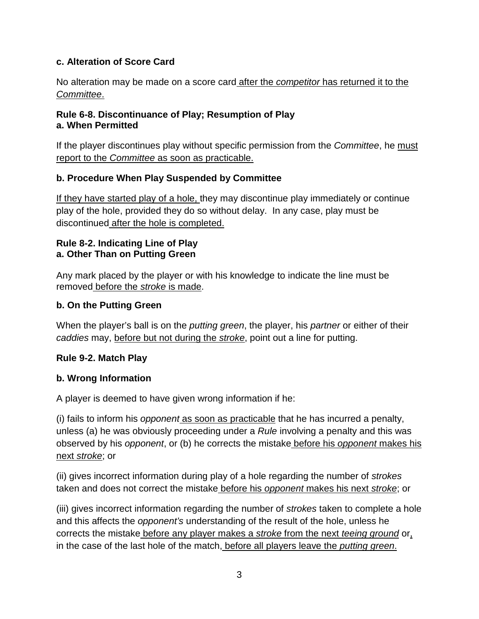### **c. Alteration of Score Card**

No alteration may be made on a score card after the *competitor* has returned it to the *Committee*.

#### **Rule 6-8. Discontinuance of Play; Resumption of Play a. When Permitted**

If the player discontinues play without specific permission from the *Committee*, he must report to the *Committee* as soon as practicable.

### **b. Procedure When Play Suspended by Committee**

If they have started play of a hole, they may discontinue play immediately or continue play of the hole, provided they do so without delay. In any case, play must be discontinued after the hole is completed.

#### **Rule 8-2. Indicating Line of Play a. Other Than on Putting Green**

Any mark placed by the player or with his knowledge to indicate the line must be removed before the *stroke* is made.

#### **b. On the Putting Green**

When the player's ball is on the *putting green*, the player, his *partner* or either of their *caddies* may, before but not during the *stroke*, point out a line for putting.

#### **Rule 9-2. Match Play**

#### **b. Wrong Information**

A player is deemed to have given wrong information if he:

(i) fails to inform his *opponent* as soon as practicable that he has incurred a penalty, unless (a) he was obviously proceeding under a *Rule* involving a penalty and this was observed by his *opponent*, or (b) he corrects the mistake before his *opponent* makes his next *stroke*; or

(ii) gives incorrect information during play of a hole regarding the number of *strokes*  taken and does not correct the mistake before his *opponent* makes his next *stroke*; or

(iii) gives incorrect information regarding the number of *strokes* taken to complete a hole and this affects the *opponent's* understanding of the result of the hole, unless he corrects the mistake before any player makes a *stroke* from the next *teeing ground* or, in the case of the last hole of the match, before all players leave the *putting green*.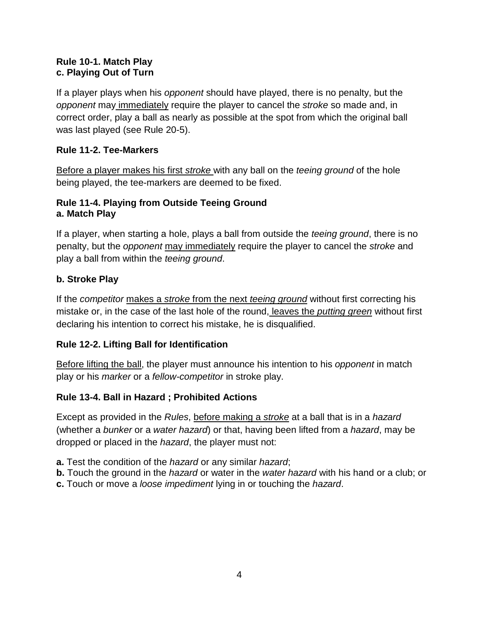#### **Rule 10-1. Match Play c. Playing Out of Turn**

If a player plays when his *opponent* should have played, there is no penalty, but the *opponent* may immediately require the player to cancel the *stroke* so made and, in correct order, play a ball as nearly as possible at the spot from which the original ball was last played (see Rule 20-5).

### **Rule 11-2. Tee-Markers**

Before a player makes his first *stroke* with any ball on the *teeing ground* of the hole being played, the tee-markers are deemed to be fixed.

#### **Rule 11-4. Playing from Outside Teeing Ground a. Match Play**

If a player, when starting a hole, plays a ball from outside the *teeing ground*, there is no penalty, but the *opponent* may immediately require the player to cancel the *stroke* and play a ball from within the *teeing ground*.

# **b. Stroke Play**

If the *competitor* makes a *stroke* from the next *teeing ground* without first correcting his mistake or, in the case of the last hole of the round, leaves the *putting green* without first declaring his intention to correct his mistake, he is disqualified.

#### **Rule 12-2. Lifting Ball for Identification**

Before lifting the ball, the player must announce his intention to his *opponent* in match play or his *marker* or a *fellow-competitor* in stroke play.

# **Rule 13-4. Ball in Hazard ; Prohibited Actions**

Except as provided in the *Rules*, before making a *stroke* at a ball that is in a *hazard*  (whether a *bunker* or a *water hazard*) or that, having been lifted from a *hazard*, may be dropped or placed in the *hazard*, the player must not:

- **a.** Test the condition of the *hazard* or any similar *hazard*;
- **b.** Touch the ground in the *hazard* or water in the *water hazard* with his hand or a club; or
- **c.** Touch or move a *loose impediment* lying in or touching the *hazard*.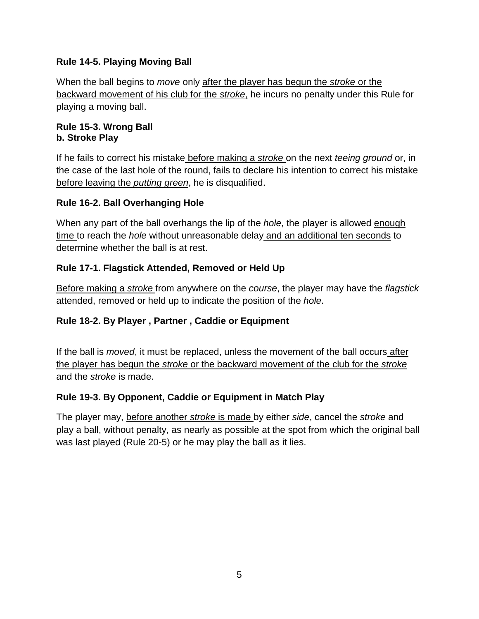### **Rule 14-5. Playing Moving Ball**

When the ball begins to *move* only after the player has begun the *stroke* or the backward movement of his club for the *stroke*, he incurs no penalty under this Rule for playing a moving ball.

#### **Rule 15-3. Wrong Ball b. Stroke Play**

If he fails to correct his mistake before making a *stroke* on the next *teeing ground* or, in the case of the last hole of the round, fails to declare his intention to correct his mistake before leaving the *putting green*, he is disqualified.

### **Rule 16-2. Ball Overhanging Hole**

When any part of the ball overhangs the lip of the *hole*, the player is allowed enough time to reach the *hole* without unreasonable delay and an additional ten seconds to determine whether the ball is at rest.

### **Rule 17-1. Flagstick Attended, Removed or Held Up**

Before making a *stroke* from anywhere on the *course*, the player may have the *flagstick*  attended, removed or held up to indicate the position of the *hole*.

# **Rule 18-2. By Player , Partner , Caddie or Equipment**

If the ball is *moved*, it must be replaced, unless the movement of the ball occurs after the player has begun the *stroke* or the backward movement of the club for the *stroke*  and the *stroke* is made.

#### **Rule 19-3. By Opponent, Caddie or Equipment in Match Play**

The player may, before another *stroke* is made by either *side*, cancel the *stroke* and play a ball, without penalty, as nearly as possible at the spot from which the original ball was last played (Rule 20-5) or he may play the ball as it lies.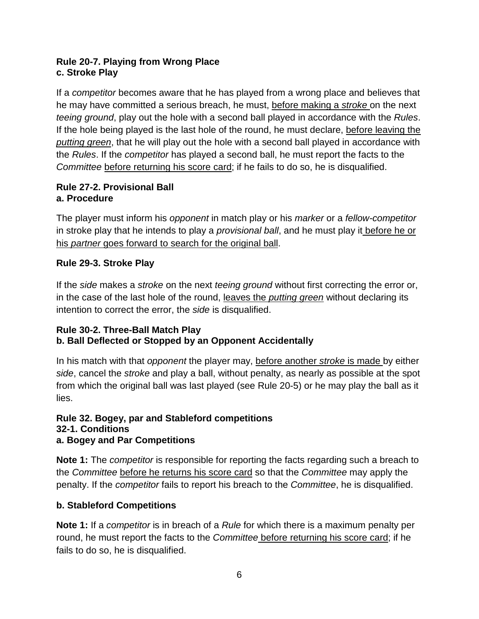#### **Rule 20-7. Playing from Wrong Place c. Stroke Play**

If a *competitor* becomes aware that he has played from a wrong place and believes that he may have committed a serious breach, he must, before making a *stroke* on the next *teeing ground*, play out the hole with a second ball played in accordance with the *Rules*. If the hole being played is the last hole of the round, he must declare, before leaving the *putting green*, that he will play out the hole with a second ball played in accordance with the *Rules*. If the *competitor* has played a second ball, he must report the facts to the *Committee* before returning his score card; if he fails to do so, he is disqualified.

# **Rule 27-2. Provisional Ball a. Procedure**

The player must inform his *opponent* in match play or his *marker* or a *fellow-competitor*  in stroke play that he intends to play a *provisional ball*, and he must play it before he or his *partner* goes forward to search for the original ball.

# **Rule 29-3. Stroke Play**

If the *side* makes a *stroke* on the next *teeing ground* without first correcting the error or, in the case of the last hole of the round, leaves the *putting green* without declaring its intention to correct the error, the *side* is disqualified.

# **Rule 30-2. Three-Ball Match Play b. Ball Deflected or Stopped by an Opponent Accidentally**

In his match with that *opponent* the player may, before another *stroke* is made by either *side*, cancel the *stroke* and play a ball, without penalty, as nearly as possible at the spot from which the original ball was last played (see Rule 20-5) or he may play the ball as it lies.

#### **Rule 32. Bogey, par and Stableford competitions 32-1. Conditions a. Bogey and Par Competitions**

**Note 1:** The *competitor* is responsible for reporting the facts regarding such a breach to the *Committee* before he returns his score card so that the *Committee* may apply the penalty. If the *competitor* fails to report his breach to the *Committee*, he is disqualified.

# **b. Stableford Competitions**

**Note 1:** If a *competitor* is in breach of a *Rule* for which there is a maximum penalty per round, he must report the facts to the *Committee* before returning his score card; if he fails to do so, he is disqualified.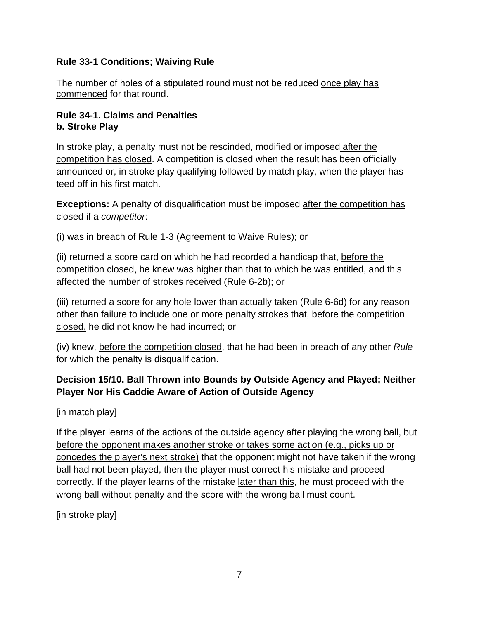#### **Rule 33-1 Conditions; Waiving Rule**

The number of holes of a stipulated round must not be reduced once play has commenced for that round.

#### **Rule 34-1. Claims and Penalties b. Stroke Play**

In stroke play, a penalty must not be rescinded, modified or imposed after the competition has closed. A competition is closed when the result has been officially announced or, in stroke play qualifying followed by match play, when the player has teed off in his first match.

**Exceptions:** A penalty of disqualification must be imposed after the competition has closed if a *competitor*:

(i) was in breach of Rule 1-3 (Agreement to Waive Rules); or

(ii) returned a score card on which he had recorded a handicap that, before the competition closed, he knew was higher than that to which he was entitled, and this affected the number of strokes received (Rule 6-2b); or

(iii) returned a score for any hole lower than actually taken (Rule 6-6d) for any reason other than failure to include one or more penalty strokes that, before the competition closed, he did not know he had incurred; or

(iv) knew, before the competition closed, that he had been in breach of any other *Rule*  for which the penalty is disqualification.

# **Decision 15/10. Ball Thrown into Bounds by Outside Agency and Played; Neither Player Nor His Caddie Aware of Action of Outside Agency**

[in match play]

If the player learns of the actions of the outside agency after playing the wrong ball, but before the opponent makes another stroke or takes some action (e.g., picks up or concedes the player's next stroke) that the opponent might not have taken if the wrong ball had not been played, then the player must correct his mistake and proceed correctly. If the player learns of the mistake later than this, he must proceed with the wrong ball without penalty and the score with the wrong ball must count.

[in stroke play]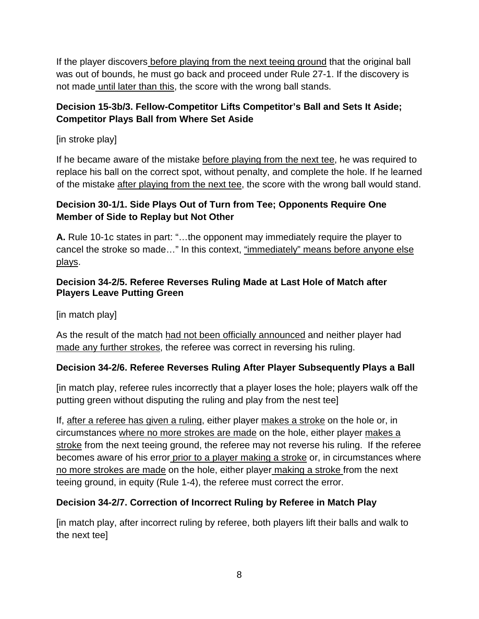If the player discovers before playing from the next teeing ground that the original ball was out of bounds, he must go back and proceed under Rule 27-1. If the discovery is not made until later than this, the score with the wrong ball stands.

# **Decision 15-3b/3. Fellow-Competitor Lifts Competitor's Ball and Sets It Aside; Competitor Plays Ball from Where Set Aside**

[in stroke play]

If he became aware of the mistake before playing from the next tee, he was required to replace his ball on the correct spot, without penalty, and complete the hole. If he learned of the mistake after playing from the next tee, the score with the wrong ball would stand.

# **Decision 30-1/1. Side Plays Out of Turn from Tee; Opponents Require One Member of Side to Replay but Not Other**

**A.** Rule 10-1c states in part: "…the opponent may immediately require the player to cancel the stroke so made…" In this context, "immediately" means before anyone else plays.

### **Decision 34-2/5. Referee Reverses Ruling Made at Last Hole of Match after Players Leave Putting Green**

[in match play]

As the result of the match had not been officially announced and neither player had made any further strokes, the referee was correct in reversing his ruling.

# **Decision 34-2/6. Referee Reverses Ruling After Player Subsequently Plays a Ball**

[in match play, referee rules incorrectly that a player loses the hole; players walk off the putting green without disputing the ruling and play from the nest tee]

If, after a referee has given a ruling, either player makes a stroke on the hole or, in circumstances where no more strokes are made on the hole, either player makes a stroke from the next teeing ground, the referee may not reverse his ruling. If the referee becomes aware of his error prior to a player making a stroke or, in circumstances where no more strokes are made on the hole, either player making a stroke from the next teeing ground, in equity (Rule 1-4), the referee must correct the error.

# **Decision 34-2/7. Correction of Incorrect Ruling by Referee in Match Play**

[in match play, after incorrect ruling by referee, both players lift their balls and walk to the next tee]